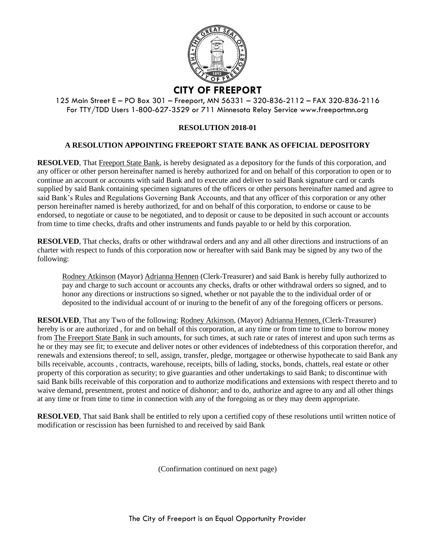

125 Main Street E – PO Box 301 – Freeport, MN 56331 – 320-836-2112 – FAX 320-836-2116 For TTY/TDD Users 1-800-627-3529 or 711 Minnesota Relay Service www.freeportmn.org

## **RESOLUTION 2018-01**

## **A RESOLUTION APPOINTING FREEPORT STATE BANK AS OFFICIAL DEPOSITORY**

**RESOLVED**, That Freeport State Bank, is hereby designated as a depository for the funds of this corporation, and any officer or other person hereinafter named is hereby authorized for and on behalf of this corporation to open or to continue an account or accounts with said Bank and to execute and deliver to said Bank signature card or cards supplied by said Bank containing specimen signatures of the officers or other persons hereinafter named and agree to said Bank's Rules and Regulations Governing Bank Accounts, and that any officer of this corporation or any other person hereinafter named is hereby authorized, for and on behalf of this corporation, to endorse or cause to be endorsed, to negotiate or cause to be negotiated, and to deposit or cause to be deposited in such account or accounts from time to time checks, drafts and other instruments and funds payable to or held by this corporation.

**RESOLVED**, That checks, drafts or other withdrawal orders and any and all other directions and instructions of an charter with respect to funds of this corporation now or hereafter with said Bank may be signed by any two of the following:

Rodney Atkinson (Mayor) Adrianna Hennen (Clerk-Treasurer) and said Bank is hereby fully authorized to pay and charge to such account or accounts any checks, drafts or other withdrawal orders so signed, and to honor any directions or instructions so signed, whether or not payable the to the individual order of or deposited to the individual account of or inuring to the benefit of any of the foregoing officers or persons.

**RESOLVED**, That any Two of the following: Rodney Atkinson, (Mayor) Adrianna Hennen, (Clerk-Treasurer) hereby is or are authorized, for and on behalf of this corporation, at any time or from time to time to borrow money from The Freeport State Bank in such amounts, for such times, at such rate or rates of interest and upon such terms as he or they may see fit; to execute and deliver notes or other evidences of indebtedness of this corporation therefor, and renewals and extensions thereof; to sell, assign, transfer, pledge, mortgagee or otherwise hypothecate to said Bank any bills receivable, accounts , contracts, warehouse, receipts, bills of lading, stocks, bonds, chattels, real estate or other property of this corporation as security; to give guaranties and other undertakings to said Bank; to discontinue with said Bank bills receivable of this corporation and to authorize modifications and extensions with respect thereto and to waive demand, presentment, protest and notice of dishonor; and to do, authorize and agree to any and all other things at any time or from time to time in connection with any of the foregoing as or they may deem appropriate.

**RESOLVED**, That said Bank shall be entitled to rely upon a certified copy of these resolutions until written notice of modification or rescission has been furnished to and received by said Bank

(Confirmation continued on next page)